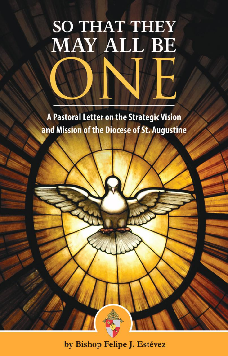# **SO THAT THEY** MAY ALL BE

A Pastoral Letter on the Strategic Vision and Mission of the Diocese of St. Augustine

by Bishop Felipe J. Estévez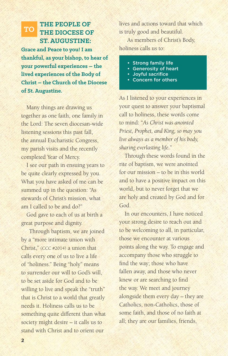#### **THE PEOPLE OF THE DIOCESE OF ST. AUGUSTINE: TO**

**Grace and Peace to you! I am thankful, as your bishop, to hear of your powerful experiences – the lived experiences of the Body of Christ – the Church of the Diocese of St. Augustine.**

Many things are drawing us together as one faith, one family in the Lord: The seven diocesan-wide listening sessions this past fall, the annual Eucharistic Congress, my parish visits and the recently completed Year of Mercy.

I see our path in ensuing years to be quite clearly expressed by you. What you have asked of me can be summed up in the question: "As stewards of Christ's mission, what am I called to be and do?"

God gave to each of us at birth a great purpose and dignity.

Through baptism, we are joined by a "more intimate union with Christ," (CCC #2014) a union that calls every one of us to live a life of "holiness." Being "holy" means to surrender our will to God's will, to be set aside for God and to be willing to live and speak the "truth" that is Christ to a world that greatly needs it. Holiness calls us to be something quite different than what society might desire – it calls us to stand with Christ and to orient our

lives and actions toward that which is truly good and beautiful.

As members of Christ's Body, holiness calls us to:

- Strong family life
- Generosity of heart
- Joyful sacrifice
- Concern for others

As I listened to your experiences in your quest to answer your baptismal call to holiness, these words come to mind: "*As Christ was anointed Priest, Prophet, and King, so may you live always as a member of his body, sharing everlasting life.*"

Through these words found in the rite of baptism, we were anointed for our mission – to be in this world and to have a positive impact on this world, but to never forget that we are holy and created by God and for God.

In our encounters, I have noticed your strong desire to reach out and to be welcoming to all, in particular, those we encounter at various points along the way. To engage and accompany those who struggle to find the way; those who have fallen away, and those who never knew or are searching to find the way. We meet and journey alongside them every day – they are Catholics, non-Catholics, those of some faith, and those of no faith at all; they are our families, friends,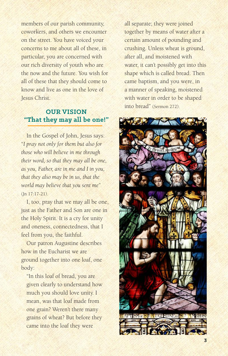members of our parish community, coworkers, and others we encounter on the street. You have voiced your concerns to me about all of these, in particular, you are concerned with our rich diversity of youth who are the now and the future. You wish for all of these that they should come to know and live as one in the love of Jesus Christ.

# **OUR VISION "That they may all be one!"**

In the Gospel of John, Jesus says: "*I pray not only for them but also for those who will believe in me through their word, so that they may all be one, as you, Father, are in me and I in you, that they also may be in us, that the world may believe that you sent me*"  $(In 17:17-21).$ 

I, too, pray that we may all be one, just as the Father and Son are one in the Holy Spirit. It is a cry for unity and oneness, connectedness, that I feel from you, the faithful.

Our patron Augustine describes how in the Eucharist we are ground together into one loaf, one body:

"In this loaf of bread, you are given clearly to understand how much you should love unity. I mean, was that loaf made from one grain? Weren't there many grains of wheat? But before they came into the loaf they were

all separate; they were joined together by means of water after a certain amount of pounding and crushing. Unless wheat is ground, after all, and moistened with water, it can't possibly get into this shape which is called bread. Then came baptism, and you were, in a manner of speaking, moistened with water in order to be shaped into bread" (Sermon 272).

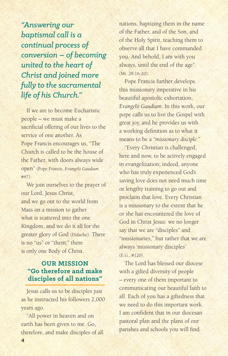*"Answering our baptismal call is a continual process of conversion – of becoming united to the heart of Christ and joined more fully to the sacramental life of his Church."*

If we are to become Eucharistic people – we must make a sacrificial offering of our lives to the service of one another. As Pope Francis encourages us, "The Church is called to be the house of the Father, with doors always wide open" (Pope Francis, *Evangelii Gaudium*  #47).

We join ourselves to the prayer of our Lord, Jesus Christ, and we go out to the world from Mass on a mission to gather what is scattered into the one Kingdom, and we do it all for the greater glory of God (Didache). There is no "us" or "them;" there is only one Body of Christ.

# **OUR MISSION "Go therefore and make disciples of all nations"**

Jesus calls us to be disciples just as he instructed his followers 2,000 years ago.

"All power in heaven and on earth has been given to me. Go, therefore, and make disciples of all

nations, baptizing them in the name of the Father, and of the Son, and of the Holy Spirit, teaching them to observe all that I have commanded you. And behold, I am with you always, until the end of the age" (Mt. 28:16-20).

Pope Francis further develops this missionary imperative in his beautiful apostolic exhortation, *Evangelii Gaudium*. In this work, our pope calls us to live the Gospel with great joy, and he provides us with a working definition as to what it means to be a "*missionary disciple.*"

"Every Christian is challenged, here and now, to be actively engaged in evangelization; indeed, anyone who has truly experienced God's saving love does not need much time or lengthy training to go out and proclaim that love. Every Christian is a missionary to the extent that he or she has encountered the love of God in Christ Jesus: we no longer say that we are "disciples" and "missionaries," but rather that we are always 'missionary disciples' (E.G., #120).

The Lord has blessed our diocese with a gifted diversity of people – every one of them important to communicating our beautiful faith to all. Each of you has a giftedness that we need to do this important work. I am confident that in our diocesan pastoral plan and the plans of our parishes and schools you will find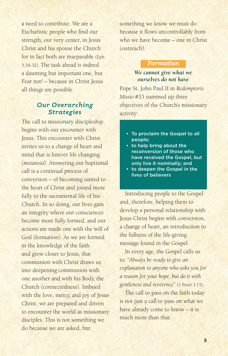a need to contribute. We are a Eucharistic people who find our strength, our very center, in Jesus Christ and his spouse the Church for in fact both are inseparable (Eph. 5:29-32). The task ahead is indeed a daunting but important one, but Fear not! – because in Christ Jesus all things are possible.

## *Our Overarching Strategies*

The call to missionary discipleship begins with our encounter with Jesus. This encounter with Christ invites us to a change of heart and mind that is forever life changing (*metanoia*). Answering our baptismal call is a continual process of conversion – of becoming united to the heart of Christ and joined more fully to the sacramental life of his Church. In so doing, our lives gain an integrity where our consciences become more fully formed, and our actions are made one with the will of God (formation). As we are formed in the knowledge of the faith and grow closer to Jesus, that communion with Christ draws us into deepening communion with one another and with his Body, the Church (connectedness). Imbued with the love, mercy, and joy of Jesus Christ; we are prepared and driven to encounter the world as missionary disciples. This is not something we do because we are asked, but

something we know we must do because it flows uncontrollably from who we have become – one in Christ (outreach).

#### *Formation*

## *We cannot give what we ourselves do not have*

Pope St. John Paul II in *Redemptoris Missio* #33 summed up three objectives of the Church's missionary activity:

- To proclaim the Gospel to all people;
- to help bring about the reconversion of those who have received the Gospel, but only live it nominally; and
- to deepen the Gospel in the lives of believers

Introducing people to the Gospel and, therefore, helping them to develop a personal relationship with Jesus Christ begins with conversion, a change of heart, an introduction to the fullness of the life-giving message found in the Gospel.

In every age, the Gospel calls us to: "*Always be ready to give an explanation to anyone who asks you for a reason for your hope, but do it with gentleness and reverence*" (1 Peter 3:15).

The call to pass on the faith today is not just a call to pass on what we have already come to know – it is much more than that.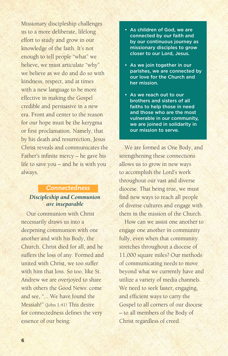Missionary discipleship challenges us to a more deliberate, lifelong effort to study and grow in our knowledge of the faith. It's not enough to tell people "what" we believe, we must articulate "why" we believe as we do and do so with kindness, respect, and at times with a new language to be more effective in making the Gospel credible and persuasive in a new era. Front and center to the reason for our hope must be the kerygma or first proclamation. Namely, that by his death and resurrection, Jesus Christ reveals and communicates the Father's infinite mercy – he gave his life to save you – and he is with you always.

# *Connectedness Discipleship and Communion are inseparable*

Our communion with Christ necessarily draws us into a deepening communion with one another and with his Body, the Church. Christ died for all, and he suffers the loss of any. Formed and united with Christ, we too suffer with him that loss. So too, like St. Andrew we are overjoyed to share with others the Good News: come and see, "... We have found the Messiah!" (John 1:41) This desire for connectedness defines the very essence of our being:

- As children of God, we are connected by our faith and by our continuous journey as missionary disciples to grow closer to our Lord, Jesus.
- As we join together in our parishes, we are connected by our love for the Church and her mission.
- As we reach out to our brothers and sisters of all faiths to help those in need and those who are the most vulnerable in our community, we are joined in solidarity in our mission to serve.

We are formed as One Body, and strengthening these connections allows us to grow in new ways to accomplish the Lord's work throughout our vast and diverse diocese. That being true, we must find new ways to reach all people of diverse cultures and engage with them in the mission of the Church.

How can we assist one another to engage one another in community fully, even when that community stretches throughout a diocese of 11,000 square miles? Our methods of communicating needs to move beyond what we currently have and utilize a variety of media channels. We need to seek faster, engaging, and efficient ways to carry the Gospel to all corners of our diocese – to all members of the Body of Christ regardless of creed.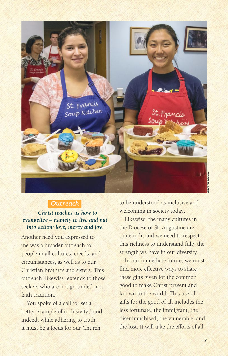

### *Outreach*

## *Christ teaches us how to evangelize – namely to live and put into action: love, mercy and joy.*

Another need you expressed to me was a broader outreach to people in all cultures, creeds, and circumstances, as well as to our Christian brothers and sisters. This outreach, likewise, extends to those seekers who are not grounded in a faith tradition

You spoke of a call to "set a better example of inclusivity," and indeed, while adhering to truth, it must be a focus for our Church

to be understood as inclusive and welcoming in society today.

Likewise, the many cultures in the Diocese of St. Augustine are quite rich, and we need to respect this richness to understand fully the strength we have in our diversity.

In our immediate future, we must find more effective ways to share these gifts given for the common good to make Christ present and known to the world. This use of gifts for the good of all includes the less fortunate, the immigrant, the disenfranchised, the vulnerable, and the lost. It will take the efforts of all